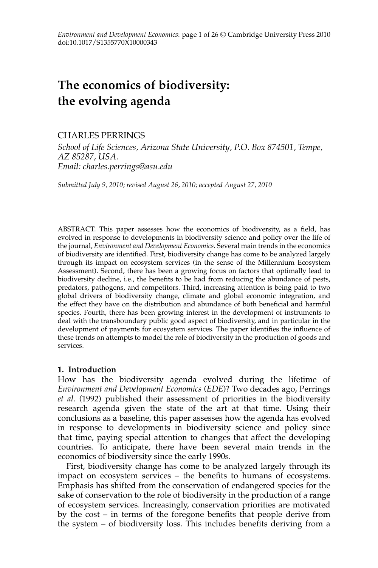# **The economics of biodiversity: the evolving agenda**

# CHARLES PERRINGS

*School of Life Sciences, Arizona State University, P.O. Box 874501, Tempe, AZ 85287, USA. Email: charles.perrings@asu.edu*

*Submitted July 9, 2010; revised August 26, 2010; accepted August 27, 2010*

ABSTRACT. This paper assesses how the economics of biodiversity, as a field, has evolved in response to developments in biodiversity science and policy over the life of the journal, *Environment and Development Economics*. Several main trends in the economics of biodiversity are identified. First, biodiversity change has come to be analyzed largely through its impact on ecosystem services (in the sense of the Millennium Ecosystem Assessment). Second, there has been a growing focus on factors that optimally lead to biodiversity decline, i.e., the benefits to be had from reducing the abundance of pests, predators, pathogens, and competitors. Third, increasing attention is being paid to two global drivers of biodiversity change, climate and global economic integration, and the effect they have on the distribution and abundance of both beneficial and harmful species. Fourth, there has been growing interest in the development of instruments to deal with the transboundary public good aspect of biodiversity, and in particular in the development of payments for ecosystem services. The paper identifies the influence of these trends on attempts to model the role of biodiversity in the production of goods and services.

### **1. Introduction**

How has the biodiversity agenda evolved during the lifetime of *Environment and Development Economics* (*EDE*)? Two decades ago, Perrings *et al.* (1992) published their assessment of priorities in the biodiversity research agenda given the state of the art at that time. Using their conclusions as a baseline, this paper assesses how the agenda has evolved in response to developments in biodiversity science and policy since that time, paying special attention to changes that affect the developing countries. To anticipate, there have been several main trends in the economics of biodiversity since the early 1990s.

First, biodiversity change has come to be analyzed largely through its impact on ecosystem services – the benefits to humans of ecosystems. Emphasis has shifted from the conservation of endangered species for the sake of conservation to the role of biodiversity in the production of a range of ecosystem services. Increasingly, conservation priorities are motivated by the cost – in terms of the foregone benefits that people derive from the system – of biodiversity loss. This includes benefits deriving from a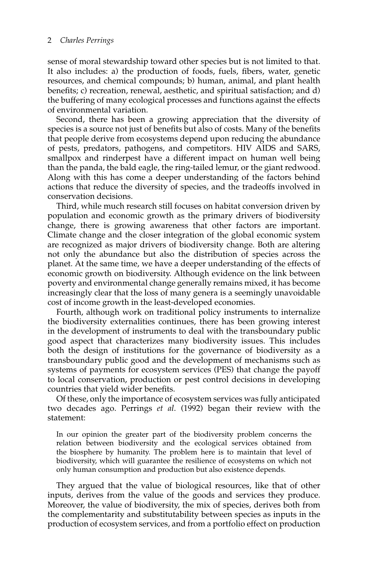sense of moral stewardship toward other species but is not limited to that. It also includes: a) the production of foods, fuels, fibers, water, genetic resources, and chemical compounds; b) human, animal, and plant health benefits; c) recreation, renewal, aesthetic, and spiritual satisfaction; and d) the buffering of many ecological processes and functions against the effects of environmental variation.

Second, there has been a growing appreciation that the diversity of species is a source not just of benefits but also of costs. Many of the benefits that people derive from ecosystems depend upon reducing the abundance of pests, predators, pathogens, and competitors. HIV AIDS and SARS, smallpox and rinderpest have a different impact on human well being than the panda, the bald eagle, the ring-tailed lemur, or the giant redwood. Along with this has come a deeper understanding of the factors behind actions that reduce the diversity of species, and the tradeoffs involved in conservation decisions.

Third, while much research still focuses on habitat conversion driven by population and economic growth as the primary drivers of biodiversity change, there is growing awareness that other factors are important. Climate change and the closer integration of the global economic system are recognized as major drivers of biodiversity change. Both are altering not only the abundance but also the distribution of species across the planet. At the same time, we have a deeper understanding of the effects of economic growth on biodiversity. Although evidence on the link between poverty and environmental change generally remains mixed, it has become increasingly clear that the loss of many genera is a seemingly unavoidable cost of income growth in the least-developed economies.

Fourth, although work on traditional policy instruments to internalize the biodiversity externalities continues, there has been growing interest in the development of instruments to deal with the transboundary public good aspect that characterizes many biodiversity issues. This includes both the design of institutions for the governance of biodiversity as a transboundary public good and the development of mechanisms such as systems of payments for ecosystem services (PES) that change the payoff to local conservation, production or pest control decisions in developing countries that yield wider benefits.

Of these, only the importance of ecosystem services was fully anticipated two decades ago. Perrings *et al*. (1992) began their review with the statement:

In our opinion the greater part of the biodiversity problem concerns the relation between biodiversity and the ecological services obtained from the biosphere by humanity. The problem here is to maintain that level of biodiversity, which will guarantee the resilience of ecosystems on which not only human consumption and production but also existence depends.

They argued that the value of biological resources, like that of other inputs, derives from the value of the goods and services they produce. Moreover, the value of biodiversity, the mix of species, derives both from the complementarity and substitutability between species as inputs in the production of ecosystem services, and from a portfolio effect on production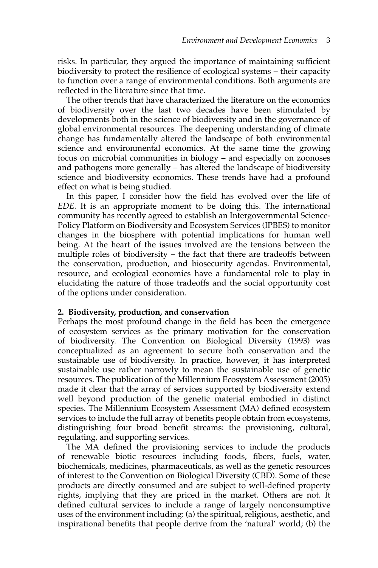risks. In particular, they argued the importance of maintaining sufficient biodiversity to protect the resilience of ecological systems – their capacity to function over a range of environmental conditions. Both arguments are reflected in the literature since that time.

The other trends that have characterized the literature on the economics of biodiversity over the last two decades have been stimulated by developments both in the science of biodiversity and in the governance of global environmental resources. The deepening understanding of climate change has fundamentally altered the landscape of both environmental science and environmental economics. At the same time the growing focus on microbial communities in biology – and especially on zoonoses and pathogens more generally – has altered the landscape of biodiversity science and biodiversity economics. These trends have had a profound effect on what is being studied.

In this paper, I consider how the field has evolved over the life of *EDE*. It is an appropriate moment to be doing this. The international community has recently agreed to establish an Intergovernmental Science-Policy Platform on Biodiversity and Ecosystem Services (IPBES) to monitor changes in the biosphere with potential implications for human well being. At the heart of the issues involved are the tensions between the multiple roles of biodiversity – the fact that there are tradeoffs between the conservation, production, and biosecurity agendas. Environmental, resource, and ecological economics have a fundamental role to play in elucidating the nature of those tradeoffs and the social opportunity cost of the options under consideration.

#### **2. Biodiversity, production, and conservation**

Perhaps the most profound change in the field has been the emergence of ecosystem services as the primary motivation for the conservation of biodiversity. The Convention on Biological Diversity (1993) was conceptualized as an agreement to secure both conservation and the sustainable use of biodiversity. In practice, however, it has interpreted sustainable use rather narrowly to mean the sustainable use of genetic resources. The publication of the Millennium Ecosystem Assessment (2005) made it clear that the array of services supported by biodiversity extend well beyond production of the genetic material embodied in distinct species. The Millennium Ecosystem Assessment (MA) defined ecosystem services to include the full array of benefits people obtain from ecosystems, distinguishing four broad benefit streams: the provisioning, cultural, regulating, and supporting services.

The MA defined the provisioning services to include the products of renewable biotic resources including foods, fibers, fuels, water, biochemicals, medicines, pharmaceuticals, as well as the genetic resources of interest to the Convention on Biological Diversity (CBD). Some of these products are directly consumed and are subject to well-defined property rights, implying that they are priced in the market. Others are not. It defined cultural services to include a range of largely nonconsumptive uses of the environment including: (a) the spiritual, religious, aesthetic, and inspirational benefits that people derive from the 'natural' world; (b) the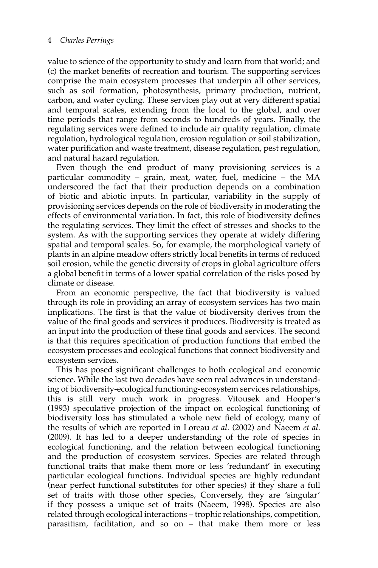value to science of the opportunity to study and learn from that world; and (c) the market benefits of recreation and tourism. The supporting services comprise the main ecosystem processes that underpin all other services, such as soil formation, photosynthesis, primary production, nutrient, carbon, and water cycling. These services play out at very different spatial and temporal scales, extending from the local to the global, and over time periods that range from seconds to hundreds of years. Finally, the regulating services were defined to include air quality regulation, climate regulation, hydrological regulation, erosion regulation or soil stabilization, water purification and waste treatment, disease regulation, pest regulation, and natural hazard regulation.

Even though the end product of many provisioning services is a particular commodity – grain, meat, water, fuel, medicine – the MA underscored the fact that their production depends on a combination of biotic and abiotic inputs. In particular, variability in the supply of provisioning services depends on the role of biodiversity in moderating the effects of environmental variation. In fact, this role of biodiversity defines the regulating services. They limit the effect of stresses and shocks to the system. As with the supporting services they operate at widely differing spatial and temporal scales. So, for example, the morphological variety of plants in an alpine meadow offers strictly local benefits in terms of reduced soil erosion, while the genetic diversity of crops in global agriculture offers a global benefit in terms of a lower spatial correlation of the risks posed by climate or disease.

From an economic perspective, the fact that biodiversity is valued through its role in providing an array of ecosystem services has two main implications. The first is that the value of biodiversity derives from the value of the final goods and services it produces. Biodiversity is treated as an input into the production of these final goods and services. The second is that this requires specification of production functions that embed the ecosystem processes and ecological functions that connect biodiversity and ecosystem services.

This has posed significant challenges to both ecological and economic science. While the last two decades have seen real advances in understanding of biodiversity-ecological functioning-ecosystem services relationships, this is still very much work in progress. Vitousek and Hooper's (1993) speculative projection of the impact on ecological functioning of biodiversity loss has stimulated a whole new field of ecology, many of the results of which are reported in Loreau *et al.* (2002) and Naeem *et al.* (2009). It has led to a deeper understanding of the role of species in ecological functioning, and the relation between ecological functioning and the production of ecosystem services. Species are related through functional traits that make them more or less 'redundant' in executing particular ecological functions. Individual species are highly redundant (near perfect functional substitutes for other species) if they share a full set of traits with those other species, Conversely, they are 'singular' if they possess a unique set of traits (Naeem, 1998). Species are also related through ecological interactions – trophic relationships, competition, parasitism, facilitation, and so on – that make them more or less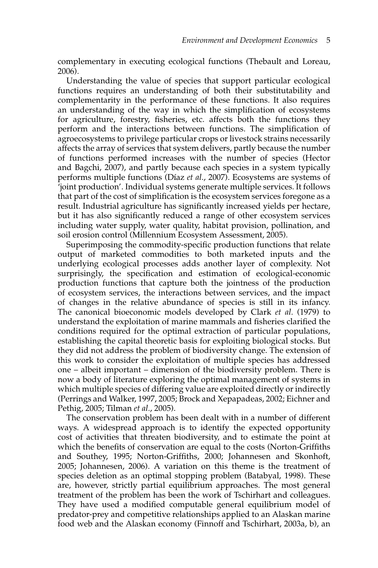complementary in executing ecological functions (Thebault and Loreau, 2006).

Understanding the value of species that support particular ecological functions requires an understanding of both their substitutability and complementarity in the performance of these functions. It also requires an understanding of the way in which the simplification of ecosystems for agriculture, forestry, fisheries, etc. affects both the functions they perform and the interactions between functions. The simplification of agroecosystems to privilege particular crops or livestock strains necessarily affects the array of services that system delivers, partly because the number of functions performed increases with the number of species (Hector and Bagchi, 2007), and partly because each species in a system typically performs multiple functions (Díaz *et al*., 2007). Ecosystems are systems of 'joint production'. Individual systems generate multiple services. It follows that part of the cost of simplification is the ecosystem services foregone as a result. Industrial agriculture has significantly increased yields per hectare, but it has also significantly reduced a range of other ecosystem services including water supply, water quality, habitat provision, pollination, and soil erosion control (Millennium Ecosystem Assessment, 2005).

Superimposing the commodity-specific production functions that relate output of marketed commodities to both marketed inputs and the underlying ecological processes adds another layer of complexity. Not surprisingly, the specification and estimation of ecological-economic production functions that capture both the jointness of the production of ecosystem services, the interactions between services, and the impact of changes in the relative abundance of species is still in its infancy. The canonical bioeconomic models developed by Clark *et al.* (1979) to understand the exploitation of marine mammals and fisheries clarified the conditions required for the optimal extraction of particular populations, establishing the capital theoretic basis for exploiting biological stocks. But they did not address the problem of biodiversity change. The extension of this work to consider the exploitation of multiple species has addressed one – albeit important – dimension of the biodiversity problem. There is now a body of literature exploring the optimal management of systems in which multiple species of differing value are exploited directly or indirectly (Perrings and Walker, 1997, 2005; Brock and Xepapadeas, 2002; Eichner and Pethig, 2005; Tilman *et al.*, 2005).

The conservation problem has been dealt with in a number of different ways. A widespread approach is to identify the expected opportunity cost of activities that threaten biodiversity, and to estimate the point at which the benefits of conservation are equal to the costs (Norton-Griffiths and Southey, 1995; Norton-Griffiths, 2000; Johannesen and Skonhoft, 2005; Johannesen, 2006). A variation on this theme is the treatment of species deletion as an optimal stopping problem (Batabyal, 1998). These are, however, strictly partial equilibrium approaches. The most general treatment of the problem has been the work of Tschirhart and colleagues. They have used a modified computable general equilibrium model of predator-prey and competitive relationships applied to an Alaskan marine food web and the Alaskan economy (Finnoff and Tschirhart, 2003a, b), an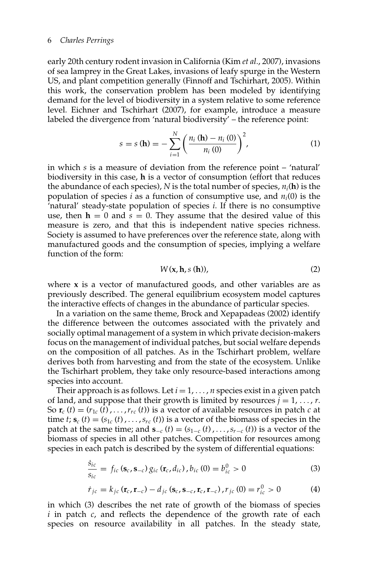early 20th century rodent invasion in California (Kim *et al.*, 2007), invasions of sea lamprey in the Great Lakes, invasions of leafy spurge in the Western US, and plant competition generally (Finnoff and Tschirhart, 2005). Within this work, the conservation problem has been modeled by identifying demand for the level of biodiversity in a system relative to some reference level. Eichner and Tschirhart (2007), for example, introduce a measure labeled the divergence from 'natural biodiversity' – the reference point:

$$
s = s(\mathbf{h}) = -\sum_{i=1}^{N} \left( \frac{n_i (\mathbf{h}) - n_i (0)}{n_i (0)} \right)^2,
$$
 (1)

in which *s* is a measure of deviation from the reference point – 'natural' biodiversity in this case, **h** is a vector of consumption (effort that reduces the abundance of each species),  $N$  is the total number of species,  $n_i$ (**h**) is the population of species *i* as a function of consumptive use, and  $n_i(0)$  is the 'natural' steady-state population of species *i*. If there is no consumptive use, then  $h = 0$  and  $s = 0$ . They assume that the desired value of this measure is zero, and that this is independent native species richness. Society is assumed to have preferences over the reference state, along with manufactured goods and the consumption of species, implying a welfare function of the form:

$$
W(\mathbf{x}, \mathbf{h}, s(\mathbf{h})), \tag{2}
$$

where **x** is a vector of manufactured goods, and other variables are as previously described. The general equilibrium ecosystem model captures the interactive effects of changes in the abundance of particular species.

In a variation on the same theme, Brock and Xepapadeas (2002) identify the difference between the outcomes associated with the privately and socially optimal management of a system in which private decision-makers focus on the management of individual patches, but social welfare depends on the composition of all patches. As in the Tschirhart problem, welfare derives both from harvesting and from the state of the ecosystem. Unlike the Tschirhart problem, they take only resource-based interactions among species into account.

Their approach is as follows. Let  $i = 1, \ldots, n$  species exist in a given patch of land, and suppose that their growth is limited by resources  $j = 1, \ldots, r$ . So  $\mathbf{r}_c(t) = (r_{1c}(t), \dots, r_{rc}(t))$  is a vector of available resources in patch *c* at time *t*;  $\mathbf{s}_c(t) = (s_{1c}(t), \ldots, s_{rc}(t))$  is a vector of the biomass of species in the patch at the same time; and  $\mathbf{s}_{-c}(t) = (s_{1-c}(t), \ldots, s_{r-c}(t))$  is a vector of the biomass of species in all other patches. Competition for resources among species in each patch is described by the system of differential equations:

$$
\frac{\dot{s}_{ic}}{s_{ic}} = f_{ic} (\mathbf{s}_c, \mathbf{s}_{-c}) g_{ic} (\mathbf{r}_c, d_{ic}), b_{ic} (0) = b_{ic}^0 > 0
$$
\n(3)

$$
\dot{r}_{jc} = k_{jc} (\mathbf{r}_c, \mathbf{r}_{-c}) - d_{jc} (\mathbf{s}_c, \mathbf{s}_{-c}, \mathbf{r}_c, \mathbf{r}_{-c}), r_{jc} (0) = r_{ic}^0 > 0 \tag{4}
$$

in which (3) describes the net rate of growth of the biomass of species *i* in patch *c*, and reflects the dependence of the growth rate of each species on resource availability in all patches. In the steady state,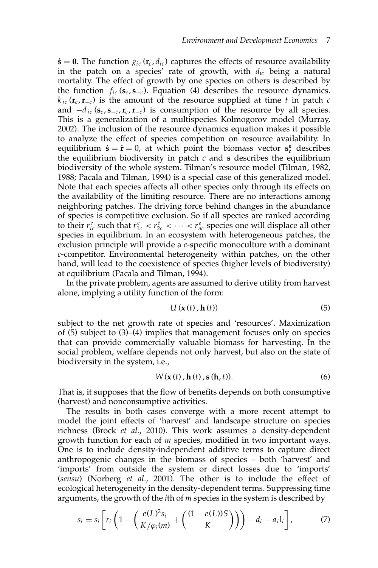$\dot{\bf{s}} = 0$ . The function  $g_{ic}$  ( ${\bf r}_c, d_{ic}$ ) captures the effects of resource availability in the patch on a species' rate of growth, with *dic* being a natural mortality. The effect of growth by one species on others is described by the function  $f_{ic}$  ( $\mathbf{s}_c$ ,  $\mathbf{s}_{-c}$ ). Equation (4) describes the resource dynamics.  $k_{ic}$  ( $\mathbf{r}_{c}$ , $\mathbf{r}_{-c}$ ) is the amount of the resource supplied at time *t* in patch *c* and  $-d_{jc}$  ( $\mathbf{s}_c$ ,  $\mathbf{s}_{-c}$ ,  $\mathbf{r}_c$ ,  $\mathbf{r}_{-c}$ ) is consumption of the resource by all species. This is a generalization of a multispecies Kolmogorov model (Murray, 2002). The inclusion of the resource dynamics equation makes it possible to analyze the effect of species competition on resource availability. In equilibrium  $\dot{\mathbf{s}} = \dot{\mathbf{r}} = 0$ , at which point the biomass vector  $\mathbf{s}_c^e$  describes the equilibrium biodiversity in patch *c* and **s** describes the equilibrium biodiversity of the whole system. Tilman's resource model (Tilman, 1982, 1988; Pacala and Tilman, 1994) is a special case of this generalized model. Note that each species affects all other species only through its effects on the availability of the limiting resource. There are no interactions among neighboring patches. The driving force behind changes in the abundance of species is competitive exclusion. So if all species are ranked according to their  $r_{ic}^e$  such that  $r_{1c}^e < r_{2c}^e < \cdots < r_{nc}^e$  species one will displace all other species in equilibrium. In an ecosystem with heterogeneous patches, the exclusion principle will provide a *c*-specific monoculture with a dominant *c*-competitor. Environmental heterogeneity within patches, on the other hand, will lead to the coexistence of species (higher levels of biodiversity) at equilibrium (Pacala and Tilman, 1994).

In the private problem, agents are assumed to derive utility from harvest alone, implying a utility function of the form:

$$
U\left(\mathbf{x}\left(t\right),\mathbf{h}\left(t\right)\right) \tag{5}
$$

subject to the net growth rate of species and 'resources'. Maximization of (5) subject to (3)–(4) implies that management focuses only on species that can provide commercially valuable biomass for harvesting. In the social problem, welfare depends not only harvest, but also on the state of biodiversity in the system, i.e.,

$$
W(\mathbf{x}(t), \mathbf{h}(t), \mathbf{s}(\mathbf{h}, t)).
$$
 (6)

That is, it supposes that the flow of benefits depends on both consumptive (harvest) and nonconsumptive activities.

The results in both cases converge with a more recent attempt to model the joint effects of 'harvest' and landscape structure on species richness (Brock *et al.*, 2010). This work assumes a density-dependent growth function for each of *m* species, modified in two important ways. One is to include density-independent additive terms to capture direct anthropogenic changes in the biomass of species – both 'harvest' and 'imports' from outside the system or direct losses due to 'imports' (*sensu*) (Norberg *et al.*, 2001). The other is to include the effect of ecological heterogeneity in the density-dependent terms. Suppressing time arguments, the growth of the *i*th of *m* species in the system is described by

$$
s_i = s_i \left[ r_i \left( 1 - \left( \frac{e(L)^2 s_i}{K / \varphi_i(m)} + \left( \frac{(1 - e(L))S}{K} \right) \right) \right) - d_i - a_i \mathbf{1}_i \right],\tag{7}
$$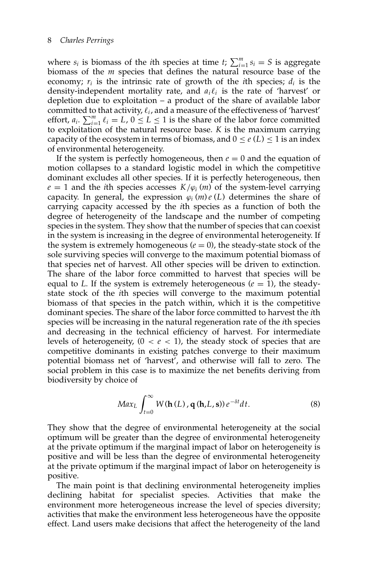where  $s_i$  is biomass of the *i*th species at time  $t_i$ ;  $\sum_{i=1}^{m} s_i = S$  is aggregate biomass of the *m* species that defines the natural resource base of the economy;  $r_i$  is the intrinsic rate of growth of the *i*th species;  $d_i$  is the density-independent mortality rate, and  $a_i \ell_i$  is the rate of 'harvest' or depletion due to exploitation – a product of the share of available labor committed to that activity,  $\ell_i$ , and a measure of the effectiveness of 'harvest' effort,  $a_i$ ,  $\sum_{i=1}^m \ell_i = L$ ,  $0 \le L \le 1$  is the share of the labor force committed to exploitation of the natural resource base. *K* is the maximum carrying capacity of the ecosystem in terms of biomass, and  $0 \le e(L) \le 1$  is an index of environmental heterogeneity.

If the system is perfectly homogeneous, then  $e = 0$  and the equation of motion collapses to a standard logistic model in which the competitive dominant excludes all other species. If it is perfectly heterogeneous, then  $e = 1$  and the *i*th species accesses  $K/\varphi_i(m)$  of the system-level carrying capacity. In general, the expression  $\varphi_i$  (*m*) *e* (*L*) determines the share of carrying capacity accessed by the *i*th species as a function of both the degree of heterogeneity of the landscape and the number of competing species in the system. They show that the number of species that can coexist in the system is increasing in the degree of environmental heterogeneity. If the system is extremely homogeneous  $(e = 0)$ , the steady-state stock of the sole surviving species will converge to the maximum potential biomass of that species net of harvest. All other species will be driven to extinction. The share of the labor force committed to harvest that species will be equal to *L*. If the system is extremely heterogeneous ( $e = 1$ ), the steadystate stock of the *i*th species will converge to the maximum potential biomass of that species in the patch within, which it is the competitive dominant species. The share of the labor force committed to harvest the *i*th species will be increasing in the natural regeneration rate of the *i*th species and decreasing in the technical efficiency of harvest. For intermediate levels of heterogeneity,  $(0 < e < 1)$ , the steady stock of species that are competitive dominants in existing patches converge to their maximum potential biomass net of 'harvest', and otherwise will fall to zero. The social problem in this case is to maximize the net benefits deriving from biodiversity by choice of

$$
Max_{L} \int_{t=0}^{\infty} W(\mathbf{h}(L), \mathbf{q}(\mathbf{h}, L, \mathbf{s})) e^{-\delta t} dt.
$$
 (8)

They show that the degree of environmental heterogeneity at the social optimum will be greater than the degree of environmental heterogeneity at the private optimum if the marginal impact of labor on heterogeneity is positive and will be less than the degree of environmental heterogeneity at the private optimum if the marginal impact of labor on heterogeneity is positive.

The main point is that declining environmental heterogeneity implies declining habitat for specialist species. Activities that make the environment more heterogeneous increase the level of species diversity; activities that make the environment less heterogeneous have the opposite effect. Land users make decisions that affect the heterogeneity of the land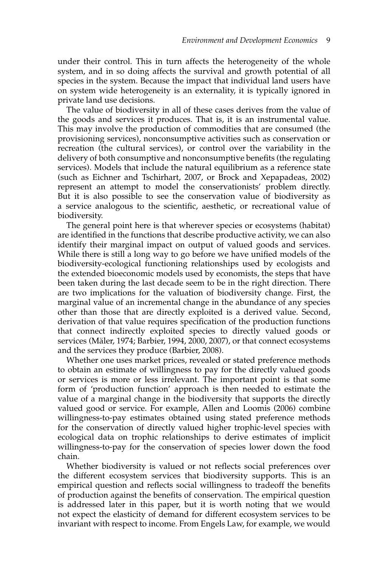under their control. This in turn affects the heterogeneity of the whole system, and in so doing affects the survival and growth potential of all species in the system. Because the impact that individual land users have on system wide heterogeneity is an externality, it is typically ignored in private land use decisions.

The value of biodiversity in all of these cases derives from the value of the goods and services it produces. That is, it is an instrumental value. This may involve the production of commodities that are consumed (the provisioning services), nonconsumptive activities such as conservation or recreation (the cultural services), or control over the variability in the delivery of both consumptive and nonconsumptive benefits (the regulating services). Models that include the natural equilibrium as a reference state (such as Eichner and Tschirhart, 2007, or Brock and Xepapadeas, 2002) represent an attempt to model the conservationists' problem directly. But it is also possible to see the conservation value of biodiversity as a service analogous to the scientific, aesthetic, or recreational value of biodiversity.

The general point here is that wherever species or ecosystems (habitat) are identified in the functions that describe productive activity, we can also identify their marginal impact on output of valued goods and services. While there is still a long way to go before we have unified models of the biodiversity-ecological functioning relationships used by ecologists and the extended bioeconomic models used by economists, the steps that have been taken during the last decade seem to be in the right direction. There are two implications for the valuation of biodiversity change. First, the marginal value of an incremental change in the abundance of any species other than those that are directly exploited is a derived value. Second, derivation of that value requires specification of the production functions that connect indirectly exploited species to directly valued goods or services (Mäler, 1974; Barbier, 1994, 2000, 2007), or that connect ecosystems and the services they produce (Barbier, 2008).

Whether one uses market prices, revealed or stated preference methods to obtain an estimate of willingness to pay for the directly valued goods or services is more or less irrelevant. The important point is that some form of 'production function' approach is then needed to estimate the value of a marginal change in the biodiversity that supports the directly valued good or service. For example, Allen and Loomis (2006) combine willingness-to-pay estimates obtained using stated preference methods for the conservation of directly valued higher trophic-level species with ecological data on trophic relationships to derive estimates of implicit willingness-to-pay for the conservation of species lower down the food chain.

Whether biodiversity is valued or not reflects social preferences over the different ecosystem services that biodiversity supports. This is an empirical question and reflects social willingness to tradeoff the benefits of production against the benefits of conservation. The empirical question is addressed later in this paper, but it is worth noting that we would not expect the elasticity of demand for different ecosystem services to be invariant with respect to income. From Engels Law, for example, we would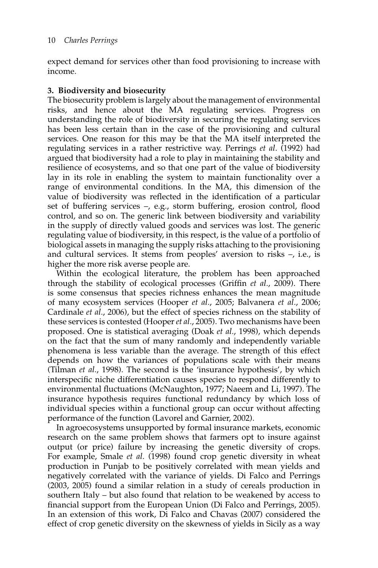expect demand for services other than food provisioning to increase with income.

# **3. Biodiversity and biosecurity**

The biosecurity problem is largely about the management of environmental risks, and hence about the MA regulating services. Progress on understanding the role of biodiversity in securing the regulating services has been less certain than in the case of the provisioning and cultural services. One reason for this may be that the MA itself interpreted the regulating services in a rather restrictive way. Perrings *et al*. (1992) had argued that biodiversity had a role to play in maintaining the stability and resilience of ecosystems, and so that one part of the value of biodiversity lay in its role in enabling the system to maintain functionality over a range of environmental conditions. In the MA, this dimension of the value of biodiversity was reflected in the identification of a particular set of buffering services –, e.g., storm buffering, erosion control, flood control, and so on. The generic link between biodiversity and variability in the supply of directly valued goods and services was lost. The generic regulating value of biodiversity, in this respect, is the value of a portfolio of biological assets in managing the supply risks attaching to the provisioning and cultural services. It stems from peoples' aversion to risks –, i.e., is higher the more risk averse people are.

Within the ecological literature, the problem has been approached through the stability of ecological processes (Griffin *et al.*, 2009). There is some consensus that species richness enhances the mean magnitude of many ecosystem services (Hooper *et al.*, 2005; Balvanera *et al.*, 2006; Cardinale *et al.*, 2006), but the effect of species richness on the stability of these services is contested (Hooper *et al.*, 2005). Two mechanisms have been proposed. One is statistical averaging (Doak *et al.*, 1998), which depends on the fact that the sum of many randomly and independently variable phenomena is less variable than the average. The strength of this effect depends on how the variances of populations scale with their means (Tilman *et al.*, 1998). The second is the 'insurance hypothesis', by which interspecific niche differentiation causes species to respond differently to environmental fluctuations (McNaughton, 1977; Naeem and Li, 1997). The insurance hypothesis requires functional redundancy by which loss of individual species within a functional group can occur without affecting performance of the function (Lavorel and Garnier, 2002).

In agroecosystems unsupported by formal insurance markets, economic research on the same problem shows that farmers opt to insure against output (or price) failure by increasing the genetic diversity of crops. For example, Smale *et al.* (1998) found crop genetic diversity in wheat production in Punjab to be positively correlated with mean yields and negatively correlated with the variance of yields. Di Falco and Perrings (2003, 2005) found a similar relation in a study of cereals production in southern Italy – but also found that relation to be weakened by access to financial support from the European Union (Di Falco and Perrings, 2005). In an extension of this work, Di Falco and Chavas (2007) considered the effect of crop genetic diversity on the skewness of yields in Sicily as a way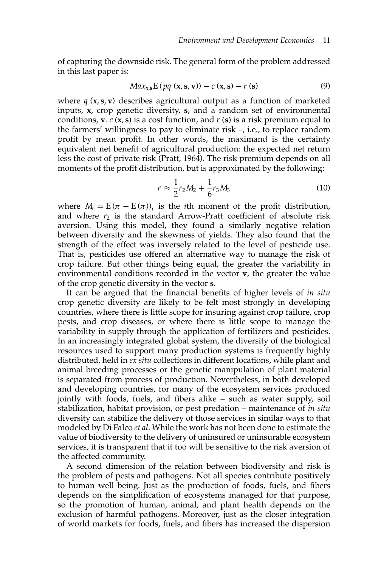of capturing the downside risk. The general form of the problem addressed in this last paper is:

$$
Max_{x,s}E(pq(x,s,v)) - c(x,s) - r(s)
$$
\n(9)

where  $q$  ( $\mathbf{x}, \mathbf{s}, \mathbf{v}$ ) describes agricultural output as a function of marketed inputs, **x**, crop genetic diversity, **s**, and a random set of environmental conditions, **v**. *c* (**x**, **s**) is a cost function, and *r* (**s**) is a risk premium equal to the farmers' willingness to pay to eliminate risk –, i.e., to replace random profit by mean profit. In other words, the maximand is the certainty equivalent net benefit of agricultural production: the expected net return less the cost of private risk (Pratt, 1964). The risk premium depends on all moments of the profit distribution, but is approximated by the following:

$$
r \approx \frac{1}{2} r_2 M_2 + \frac{1}{6} r_3 M_3 \tag{10}
$$

where  $M_i = E(\pi - E(\pi))$ <sub>i</sub> is the *i*th moment of the profit distribution, and where  $r_2$  is the standard Arrow-Pratt coefficient of absolute risk aversion. Using this model, they found a similarly negative relation between diversity and the skewness of yields. They also found that the strength of the effect was inversely related to the level of pesticide use. That is, pesticides use offered an alternative way to manage the risk of crop failure. But other things being equal, the greater the variability in environmental conditions recorded in the vector **v**, the greater the value of the crop genetic diversity in the vector **s**.

It can be argued that the financial benefits of higher levels of *in situ* crop genetic diversity are likely to be felt most strongly in developing countries, where there is little scope for insuring against crop failure, crop pests, and crop diseases, or where there is little scope to manage the variability in supply through the application of fertilizers and pesticides. In an increasingly integrated global system, the diversity of the biological resources used to support many production systems is frequently highly distributed, held in *ex situ* collections in different locations, while plant and animal breeding processes or the genetic manipulation of plant material is separated from process of production. Nevertheless, in both developed and developing countries, for many of the ecosystem services produced jointly with foods, fuels, and fibers alike – such as water supply, soil stabilization, habitat provision, or pest predation – maintenance of *in situ* diversity can stabilize the delivery of those services in similar ways to that modeled by Di Falco *et al*. While the work has not been done to estimate the value of biodiversity to the delivery of uninsured or uninsurable ecosystem services, it is transparent that it too will be sensitive to the risk aversion of the affected community.

A second dimension of the relation between biodiversity and risk is the problem of pests and pathogens. Not all species contribute positively to human well being. Just as the production of foods, fuels, and fibers depends on the simplification of ecosystems managed for that purpose, so the promotion of human, animal, and plant health depends on the exclusion of harmful pathogens. Moreover, just as the closer integration of world markets for foods, fuels, and fibers has increased the dispersion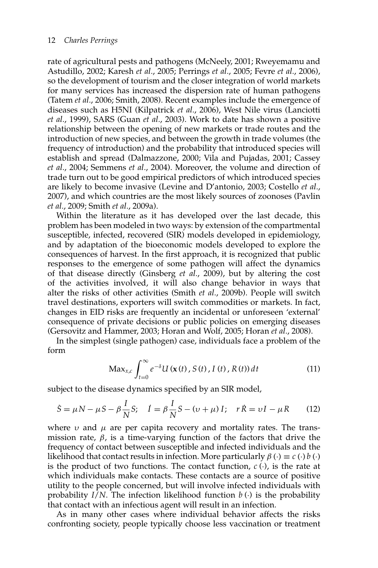rate of agricultural pests and pathogens (McNeely, 2001; Rweyemamu and Astudillo, 2002; Karesh *et al.*, 2005; Perrings *et al.*, 2005; Fevre *et al.*, 2006), so the development of tourism and the closer integration of world markets for many services has increased the dispersion rate of human pathogens (Tatem *et al.*, 2006; Smith, 2008). Recent examples include the emergence of diseases such as H5NI (Kilpatrick *et al.*, 2006), West Nile virus (Lanciotti *et al.*, 1999), SARS (Guan *et al.*, 2003). Work to date has shown a positive relationship between the opening of new markets or trade routes and the introduction of new species, and between the growth in trade volumes (the frequency of introduction) and the probability that introduced species will establish and spread (Dalmazzone, 2000; Vila and Pujadas, 2001; Cassey *et al.*, 2004; Semmens *et al.*, 2004). Moreover, the volume and direction of trade turn out to be good empirical predictors of which introduced species are likely to become invasive (Levine and D'antonio, 2003; Costello *et al.*, 2007), and which countries are the most likely sources of zoonoses (Pavlin *et al.*, 2009; Smith *et al.*, 2009a).

Within the literature as it has developed over the last decade, this problem has been modeled in two ways: by extension of the compartmental susceptible, infected, recovered (SIR) models developed in epidemiology, and by adaptation of the bioeconomic models developed to explore the consequences of harvest. In the first approach, it is recognized that public responses to the emergence of some pathogen will affect the dynamics of that disease directly (Ginsberg *et al.*, 2009), but by altering the cost of the activities involved, it will also change behavior in ways that alter the risks of other activities (Smith *et al.*, 2009b). People will switch travel destinations, exporters will switch commodities or markets. In fact, changes in EID risks are frequently an incidental or unforeseen 'external' consequence of private decisions or public policies on emerging diseases (Gersovitz and Hammer, 2003; Horan and Wolf, 2005; Horan *et al.*, 2008).

In the simplest (single pathogen) case, individuals face a problem of the form

$$
\operatorname{Max}_{x,c} \int_{t=0}^{\infty} e^{-\delta} U(\mathbf{x}(t), S(t), I(t), R(t)) dt \tag{11}
$$

subject to the disease dynamics specified by an SIR model,

$$
\dot{S} = \mu N - \mu S - \beta \frac{I}{N} S; \quad \dot{I} = \beta \frac{I}{N} S - (\nu + \mu) I; \quad r\dot{R} = \nu I - \mu R \tag{12}
$$

where  $\upsilon$  and  $\mu$  are per capita recovery and mortality rates. The transmission rate,  $\beta$ , is a time-varying function of the factors that drive the frequency of contact between susceptible and infected individuals and the likelihood that contact results in infection. More particularly  $\beta(\cdot) \equiv c(\cdot) b(\cdot)$ is the product of two functions. The contact function,  $c(\cdot)$ , is the rate at which individuals make contacts. These contacts are a source of positive utility to the people concerned, but will involve infected individuals with probability  $I/N$ . The infection likelihood function  $b(.)$  is the probability that contact with an infectious agent will result in an infection.

As in many other cases where individual behavior affects the risks confronting society, people typically choose less vaccination or treatment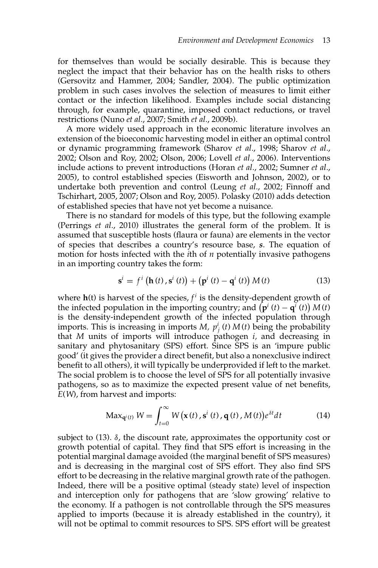for themselves than would be socially desirable. This is because they neglect the impact that their behavior has on the health risks to others (Gersovitz and Hammer, 2004; Sandler, 2004). The public optimization problem in such cases involves the selection of measures to limit either contact or the infection likelihood. Examples include social distancing through, for example, quarantine, imposed contact reductions, or travel restrictions (Nuno *et al.*, 2007; Smith *et al.*, 2009b).

A more widely used approach in the economic literature involves an extension of the bioeconomic harvesting model in either an optimal control or dynamic programming framework (Sharov *et al.*, 1998; Sharov *et al.*, 2002; Olson and Roy, 2002; Olson, 2006; Lovell *et al.*, 2006). Interventions include actions to prevent introductions (Horan *et al.*, 2002; Sumner *et al.*, 2005), to control established species (Eisworth and Johnson, 2002), or to undertake both prevention and control (Leung *et al.*, 2002; Finnoff and Tschirhart, 2005, 2007; Olson and Roy, 2005). Polasky (2010) adds detection of established species that have not yet become a nuisance.

There is no standard for models of this type, but the following example (Perrings *et al.*, 2010) illustrates the general form of the problem. It is assumed that susceptible hosts (flaura or fauna) are elements in the vector of species that describes a country's resource base, *s*. The equation of motion for hosts infected with the *i*th of *n* potentially invasive pathogens in an importing country takes the form:

$$
\mathbf{s}^{i} = f^{i} \left( \mathbf{h} \left( t \right), \mathbf{s}^{i} \left( t \right) \right) + \left( \mathbf{p}^{i} \left( t \right) - \mathbf{q}^{i} \left( t \right) \right) M \left( t \right) \tag{13}
$$

where  $h(t)$  is harvest of the species,  $f^i$  is the density-dependent growth of the infected population in the importing country; and  $(\mathbf{p}^i(t) - \mathbf{q}^i(t)) M(t)$ is the density-independent growth of the infected population through imports. This is increasing in imports *M*,  $p_j^i$  (*t*) *M*(*t*) being the probability that *M* units of imports will introduce pathogen *i,* and decreasing in sanitary and phytosanitary (SPS) effort. Since SPS is an 'impure public good' (it gives the provider a direct benefit, but also a nonexclusive indirect benefit to all others), it will typically be underprovided if left to the market. The social problem is to choose the level of SPS for all potentially invasive pathogens, so as to maximize the expected present value of net benefits, *E*(*W*), from harvest and imports:

$$
\operatorname{Max}_{\mathbf{q}^{i}(t)} W = \int_{t=0}^{\infty} W(\mathbf{x}(t), \mathbf{s}^{i}(t), \mathbf{q}(t), M(t)) e^{\delta t} dt \qquad (14)
$$

subject to  $(13)$ .  $\delta$ , the discount rate, approximates the opportunity cost or growth potential of capital. They find that SPS effort is increasing in the potential marginal damage avoided (the marginal benefit of SPS measures) and is decreasing in the marginal cost of SPS effort. They also find SPS effort to be decreasing in the relative marginal growth rate of the pathogen. Indeed, there will be a positive optimal (steady state) level of inspection and interception only for pathogens that are 'slow growing' relative to the economy. If a pathogen is not controllable through the SPS measures applied to imports (because it is already established in the country), it will not be optimal to commit resources to SPS. SPS effort will be greatest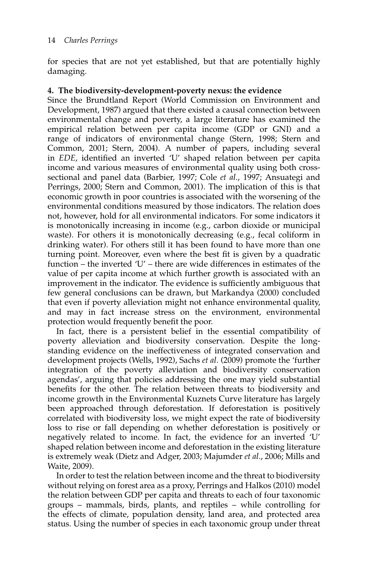for species that are not yet established, but that are potentially highly damaging.

## **4. The biodiversity-development-poverty nexus: the evidence**

Since the Brundtland Report (World Commission on Environment and Development, 1987) argued that there existed a causal connection between environmental change and poverty, a large literature has examined the empirical relation between per capita income (GDP or GNI) and a range of indicators of environmental change (Stern, 1998; Stern and Common, 2001; Stern, 2004). A number of papers, including several in *EDE*, identified an inverted 'U' shaped relation between per capita income and various measures of environmental quality using both crosssectional and panel data (Barbier, 1997; Cole *et al.*, 1997; Ansuategi and Perrings, 2000; Stern and Common, 2001). The implication of this is that economic growth in poor countries is associated with the worsening of the environmental conditions measured by those indicators. The relation does not, however, hold for all environmental indicators. For some indicators it is monotonically increasing in income (e.g., carbon dioxide or municipal waste). For others it is monotonically decreasing (e.g., fecal coliform in drinking water). For others still it has been found to have more than one turning point. Moreover, even where the best fit is given by a quadratic function – the inverted 'U' – there are wide differences in estimates of the value of per capita income at which further growth is associated with an improvement in the indicator. The evidence is sufficiently ambiguous that few general conclusions can be drawn, but Markandya (2000) concluded that even if poverty alleviation might not enhance environmental quality, and may in fact increase stress on the environment, environmental protection would frequently benefit the poor.

In fact, there is a persistent belief in the essential compatibility of poverty alleviation and biodiversity conservation. Despite the longstanding evidence on the ineffectiveness of integrated conservation and development projects (Wells, 1992), Sachs *et al.* (2009) promote the 'further integration of the poverty alleviation and biodiversity conservation agendas', arguing that policies addressing the one may yield substantial benefits for the other. The relation between threats to biodiversity and income growth in the Environmental Kuznets Curve literature has largely been approached through deforestation. If deforestation is positively correlated with biodiversity loss, we might expect the rate of biodiversity loss to rise or fall depending on whether deforestation is positively or negatively related to income. In fact, the evidence for an inverted 'U' shaped relation between income and deforestation in the existing literature is extremely weak (Dietz and Adger, 2003; Majumder *et al.*, 2006; Mills and Waite, 2009).

In order to test the relation between income and the threat to biodiversity without relying on forest area as a proxy, Perrings and Halkos (2010) model the relation between GDP per capita and threats to each of four taxonomic groups – mammals, birds, plants, and reptiles – while controlling for the effects of climate, population density, land area, and protected area status. Using the number of species in each taxonomic group under threat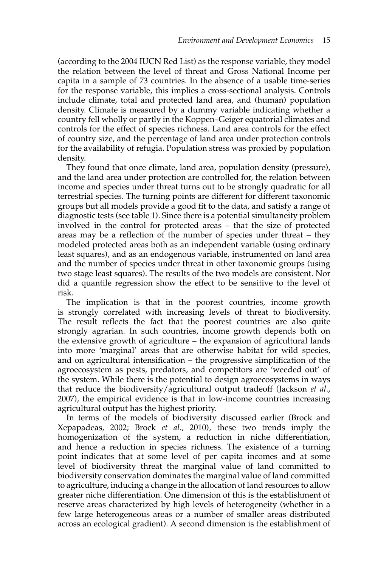(according to the 2004 IUCN Red List) as the response variable, they model the relation between the level of threat and Gross National Income per capita in a sample of 73 countries. In the absence of a usable time-series for the response variable, this implies a cross-sectional analysis. Controls include climate, total and protected land area, and (human) population density. Climate is measured by a dummy variable indicating whether a country fell wholly or partly in the Koppen–Geiger equatorial climates and controls for the effect of species richness. Land area controls for the effect of country size, and the percentage of land area under protection controls for the availability of refugia. Population stress was proxied by population density.

They found that once climate, land area, population density (pressure), and the land area under protection are controlled for, the relation between income and species under threat turns out to be strongly quadratic for all terrestrial species. The turning points are different for different taxonomic groups but all models provide a good fit to the data, and satisfy a range of diagnostic tests (see table 1). Since there is a potential simultaneity problem involved in the control for protected areas – that the size of protected areas may be a reflection of the number of species under threat – they modeled protected areas both as an independent variable (using ordinary least squares), and as an endogenous variable, instrumented on land area and the number of species under threat in other taxonomic groups (using two stage least squares). The results of the two models are consistent. Nor did a quantile regression show the effect to be sensitive to the level of risk.

The implication is that in the poorest countries, income growth is strongly correlated with increasing levels of threat to biodiversity. The result reflects the fact that the poorest countries are also quite strongly agrarian. In such countries, income growth depends both on the extensive growth of agriculture – the expansion of agricultural lands into more 'marginal' areas that are otherwise habitat for wild species, and on agricultural intensification – the progressive simplification of the agroecosystem as pests, predators, and competitors are 'weeded out' of the system. While there is the potential to design agroecosystems in ways that reduce the biodiversity/agricultural output tradeoff (Jackson *et al.*, 2007), the empirical evidence is that in low-income countries increasing agricultural output has the highest priority.

In terms of the models of biodiversity discussed earlier (Brock and Xepapadeas, 2002; Brock *et al.*, 2010), these two trends imply the homogenization of the system, a reduction in niche differentiation, and hence a reduction in species richness. The existence of a turning point indicates that at some level of per capita incomes and at some level of biodiversity threat the marginal value of land committed to biodiversity conservation dominates the marginal value of land committed to agriculture, inducing a change in the allocation of land resources to allow greater niche differentiation. One dimension of this is the establishment of reserve areas characterized by high levels of heterogeneity (whether in a few large heterogeneous areas or a number of smaller areas distributed across an ecological gradient). A second dimension is the establishment of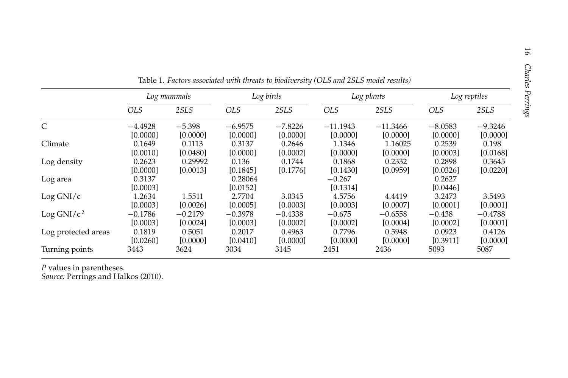|                        | Log mammals        |           | Log birds           |           | Log plants           |            | Log reptiles       |           |
|------------------------|--------------------|-----------|---------------------|-----------|----------------------|------------|--------------------|-----------|
|                        | <i>OLS</i>         | 2SLS      | <i>OLS</i>          | 2SLS      | <i>OLS</i>           | 2SLS       | <b>OLS</b>         | 2SLS      |
| C                      | $-4.4928$          | $-5.398$  | $-6.9575$           | $-7.8226$ | $-11.1943$           | $-11.3466$ | $-8.0583$          | $-9.3246$ |
|                        | [0.0000]           | [0.0000]  | [0.0000]            | [0.0000]  | [0.0000]             | [0.0000]   | [0.0000]           | [0.0000]  |
| Climate                | 0.1649             | 0.1113    | 0.3137              | 0.2646    | 1.1346               | 1.16025    | 0.2539             | 0.198     |
|                        | [0.0010]           | [0.0480]  | [0.0000]            | [0.0002]  | [0.0000]             | [0.0000]   | [0.0003]           | [0.0168]  |
| Log density            | 0.2623             | 0.29992   | 0.136               | 0.1744    | 0.1868               | 0.2332     | 0.2898             | 0.3645    |
|                        | [0.0000]           | [0.0013]  | [0.1845]            | [0.1776]  | [0.1430]             | [0.0959]   | [0.0326]           | [0.0220]  |
| Log area               | 0.3137<br>[0.0003] |           | 0.28064<br>[0.0152] |           | $-0.267$<br>[0.1314] |            | 0.2627<br>[0.0446] |           |
| Log GNI/c              | 1.2634             | 1.5511    | 2.7704              | 3.0345    | 4.5756               | 4.4419     | 3.2473             | 3.5493    |
|                        | [0.0003]           | [0.0026]  | [0.0005]            | [0.0003]  | [0.0003]             | [0.0007]   | [0.0001]           | [0.0001]  |
| Log GNI/c <sup>2</sup> | $-0.1786$          | $-0.2179$ | $-0.3978$           | $-0.4338$ | $-0.675$             | $-0.6558$  | $-0.438$           | $-0.4788$ |
|                        | [0.0003]           | [0.0024]  | [0.0003]            | [0.0002]  | [0.0002]             | [0.0004]   | [0.0002]           | [0.0001]  |
| Log protected areas    | 0.1819             | 0.5051    | 0.2017              | 0.4963    | 0.7796               | 0.5948     | 0.0923             | 0.4126    |
|                        | [0.0260]           | [0.0000]  | [0.0410]            | [0.0000]  | [0.0000]             | [0.0000]   | [0.3911]           | [0.0000]  |
| Turning points         | 3443               | 3624      | 3034                | 3145      | 2451                 | 2436       | 5093               | 5087      |

*P* values in parentheses. *Source:* Perrings and Halkos (2010).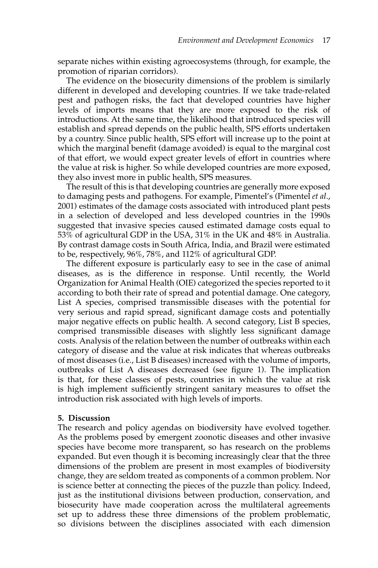separate niches within existing agroecosystems (through, for example, the promotion of riparian corridors).

The evidence on the biosecurity dimensions of the problem is similarly different in developed and developing countries. If we take trade-related pest and pathogen risks, the fact that developed countries have higher levels of imports means that they are more exposed to the risk of introductions. At the same time, the likelihood that introduced species will establish and spread depends on the public health, SPS efforts undertaken by a country. Since public health, SPS effort will increase up to the point at which the marginal benefit (damage avoided) is equal to the marginal cost of that effort, we would expect greater levels of effort in countries where the value at risk is higher. So while developed countries are more exposed, they also invest more in public health, SPS measures.

The result of this is that developing countries are generally more exposed to damaging pests and pathogens. For example, Pimentel's (Pimentel *et al.*, 2001) estimates of the damage costs associated with introduced plant pests in a selection of developed and less developed countries in the 1990s suggested that invasive species caused estimated damage costs equal to 53% of agricultural GDP in the USA, 31% in the UK and 48% in Australia. By contrast damage costs in South Africa, India, and Brazil were estimated to be, respectively, 96%, 78%, and 112% of agricultural GDP.

The different exposure is particularly easy to see in the case of animal diseases, as is the difference in response. Until recently, the World Organization for Animal Health (OIE) categorized the species reported to it according to both their rate of spread and potential damage. One category, List A species, comprised transmissible diseases with the potential for very serious and rapid spread, significant damage costs and potentially major negative effects on public health. A second category, List B species, comprised transmissible diseases with slightly less significant damage costs. Analysis of the relation between the number of outbreaks within each category of disease and the value at risk indicates that whereas outbreaks of most diseases (i.e., List B diseases) increased with the volume of imports, outbreaks of List A diseases decreased (see figure 1). The implication is that, for these classes of pests, countries in which the value at risk is high implement sufficiently stringent sanitary measures to offset the introduction risk associated with high levels of imports.

### **5. Discussion**

The research and policy agendas on biodiversity have evolved together. As the problems posed by emergent zoonotic diseases and other invasive species have become more transparent, so has research on the problems expanded. But even though it is becoming increasingly clear that the three dimensions of the problem are present in most examples of biodiversity change, they are seldom treated as components of a common problem. Nor is science better at connecting the pieces of the puzzle than policy. Indeed, just as the institutional divisions between production, conservation, and biosecurity have made cooperation across the multilateral agreements set up to address these three dimensions of the problem problematic, so divisions between the disciplines associated with each dimension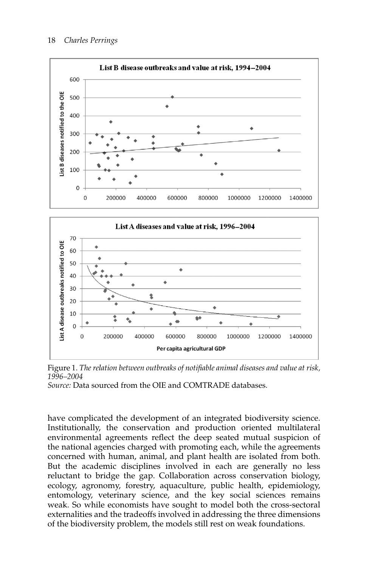







have complicated the development of an integrated biodiversity science. Institutionally, the conservation and production oriented multilateral environmental agreements reflect the deep seated mutual suspicion of the national agencies charged with promoting each, while the agreements concerned with human, animal, and plant health are isolated from both. But the academic disciplines involved in each are generally no less reluctant to bridge the gap. Collaboration across conservation biology, ecology, agronomy, forestry, aquaculture, public health, epidemiology, entomology, veterinary science, and the key social sciences remains weak. So while economists have sought to model both the cross-sectoral externalities and the tradeoffs involved in addressing the three dimensions of the biodiversity problem, the models still rest on weak foundations.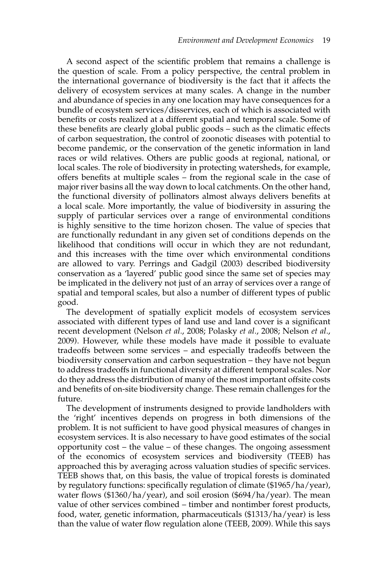A second aspect of the scientific problem that remains a challenge is the question of scale. From a policy perspective, the central problem in the international governance of biodiversity is the fact that it affects the delivery of ecosystem services at many scales. A change in the number and abundance of species in any one location may have consequences for a bundle of ecosystem services/disservices, each of which is associated with benefits or costs realized at a different spatial and temporal scale. Some of these benefits are clearly global public goods – such as the climatic effects of carbon sequestration, the control of zoonotic diseases with potential to become pandemic, or the conservation of the genetic information in land races or wild relatives. Others are public goods at regional, national, or local scales. The role of biodiversity in protecting watersheds, for example, offers benefits at multiple scales – from the regional scale in the case of major river basins all the way down to local catchments. On the other hand, the functional diversity of pollinators almost always delivers benefits at a local scale. More importantly, the value of biodiversity in assuring the supply of particular services over a range of environmental conditions is highly sensitive to the time horizon chosen. The value of species that are functionally redundant in any given set of conditions depends on the likelihood that conditions will occur in which they are not redundant, and this increases with the time over which environmental conditions are allowed to vary. Perrings and Gadgil (2003) described biodiversity conservation as a 'layered' public good since the same set of species may be implicated in the delivery not just of an array of services over a range of spatial and temporal scales, but also a number of different types of public good.

The development of spatially explicit models of ecosystem services associated with different types of land use and land cover is a significant recent development (Nelson *et al.*, 2008; Polasky *et al.*, 2008; Nelson *et al.*, 2009). However, while these models have made it possible to evaluate tradeoffs between some services – and especially tradeoffs between the biodiversity conservation and carbon sequestration – they have not begun to address tradeoffs in functional diversity at different temporal scales. Nor do they address the distribution of many of the most important offsite costs and benefits of on-site biodiversity change. These remain challenges for the future.

The development of instruments designed to provide landholders with the 'right' incentives depends on progress in both dimensions of the problem. It is not sufficient to have good physical measures of changes in ecosystem services. It is also necessary to have good estimates of the social opportunity cost – the value – of these changes. The ongoing assessment of the economics of ecosystem services and biodiversity (TEEB) has approached this by averaging across valuation studies of specific services. TEEB shows that, on this basis, the value of tropical forests is dominated by regulatory functions: specifically regulation of climate (\$1965/ha/year), water flows (\$1360/ha/year), and soil erosion (\$694/ha/year). The mean value of other services combined – timber and nontimber forest products, food, water, genetic information, pharmaceuticals (\$1313/ha/year) is less than the value of water flow regulation alone (TEEB, 2009). While this says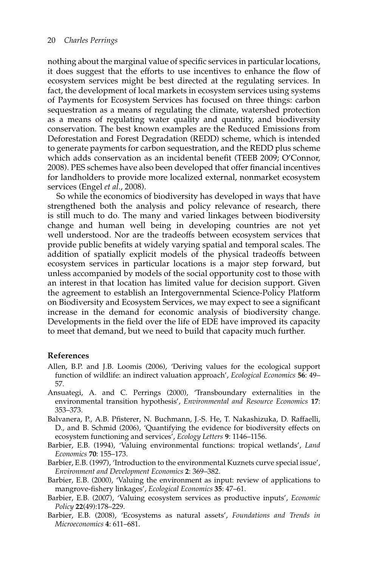nothing about the marginal value of specific services in particular locations, it does suggest that the efforts to use incentives to enhance the flow of ecosystem services might be best directed at the regulating services. In fact, the development of local markets in ecosystem services using systems of Payments for Ecosystem Services has focused on three things: carbon sequestration as a means of regulating the climate, watershed protection as a means of regulating water quality and quantity, and biodiversity conservation. The best known examples are the Reduced Emissions from Deforestation and Forest Degradation (REDD) scheme, which is intended to generate payments for carbon sequestration, and the REDD plus scheme which adds conservation as an incidental benefit (TEEB 2009; O'Connor, 2008). PES schemes have also been developed that offer financial incentives for landholders to provide more localized external, nonmarket ecosystem services (Engel *et al.*, 2008).

So while the economics of biodiversity has developed in ways that have strengthened both the analysis and policy relevance of research, there is still much to do. The many and varied linkages between biodiversity change and human well being in developing countries are not yet well understood. Nor are the tradeoffs between ecosystem services that provide public benefits at widely varying spatial and temporal scales. The addition of spatially explicit models of the physical tradeoffs between ecosystem services in particular locations is a major step forward, but unless accompanied by models of the social opportunity cost to those with an interest in that location has limited value for decision support. Given the agreement to establish an Intergovernmental Science-Policy Platform on Biodiversity and Ecosystem Services, we may expect to see a significant increase in the demand for economic analysis of biodiversity change. Developments in the field over the life of EDE have improved its capacity to meet that demand, but we need to build that capacity much further.

#### **References**

- Allen, B.P. and J.B. Loomis (2006), 'Deriving values for the ecological support function of wildlife: an indirect valuation approach', *Ecological Economics* **56**: 49– 57.
- Ansuategi, A. and C. Perrings (2000), 'Transboundary externalities in the environmental transition hypothesis', *Environmental and Resource Economics* **17**: 353–373.
- Balvanera, P., A.B. Pfisterer, N. Buchmann, J.-S. He, T. Nakashizuka, D. Raffaelli, D., and B. Schmid (2006), 'Quantifying the evidence for biodiversity effects on ecosystem functioning and services', *Ecology Letters* **9**: 1146–1156.
- Barbier, E.B. (1994), 'Valuing environmental functions: tropical wetlands', *Land Economics* **70**: 155–173.
- Barbier, E.B. (1997), 'Introduction to the environmental Kuznets curve special issue', *Environment and Development Economics* **2**: 369–382.
- Barbier, E.B. (2000), 'Valuing the environment as input: review of applications to mangrove-fishery linkages', *Ecological Economics* **35**: 47–61.
- Barbier, E.B. (2007), 'Valuing ecosystem services as productive inputs', *Economic Policy* **22**(49):178–229.
- Barbier, E.B. (2008), 'Ecosystems as natural assets', *Foundations and Trends in Microeconomics* **4**: 611–681.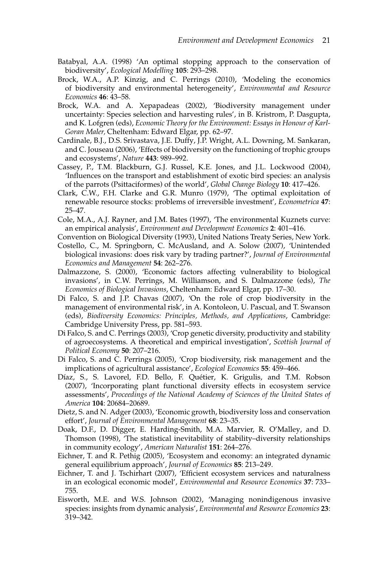- Batabyal, A.A. (1998) 'An optimal stopping approach to the conservation of biodiversity', *Ecological Modelling* **105**: 293–298.
- Brock, W.A., A.P. Kinzig, and C. Perrings (2010), 'Modeling the economics of biodiversity and environmental heterogeneity', *Environmental and Resource Economics* **46**: 43–58.
- Brock, W.A. and A. Xepapadeas (2002), 'Biodiversity management under uncertainty: Species selection and harvesting rules', in B. Kristrom, P. Dasgupta, and K. Lofgren (eds), *Economic Theory for the Environment: Essays in Honour of Karl-Goran Maler,* Cheltenham: Edward Elgar, pp. 62–97.
- Cardinale, B.J., D.S. Srivastava, J.E. Duffy, J.P. Wright, A.L. Downing, M. Sankaran, and C. Jouseau (2006), 'Effects of biodiversity on the functioning of trophic groups and ecosystems', *Nature* **443**: 989–992.
- Cassey, P., T.M. Blackburn, G.J. Russel, K.E. Jones, and J.L. Lockwood (2004), 'Influences on the transport and establishment of exotic bird species: an analysis of the parrots (Psittaciformes) of the world', *Global Change Biology* **10**: 417–426.
- Clark, C.W., F.H. Clarke and G.R. Munro (1979), 'The optimal exploitation of renewable resource stocks: problems of irreversible investment', *Econometrica* **47**: 25–47.
- Cole, M.A., A.J. Rayner, and J.M. Bates (1997), 'The environmental Kuznets curve: an empirical analysis', *Environment and Development Economics* **2**: 401–416.
- Convention on Biological Diversity (1993), United Nations Treaty Series, New York.
- Costello, C., M. Springborn, C. McAusland, and A. Solow (2007), 'Unintended biological invasions: does risk vary by trading partner?', *Journal of Environmental Economics and Management* **54**: 262–276.
- Dalmazzone, S. (2000), 'Economic factors affecting vulnerability to biological invasions', in C.W. Perrings, M. Williamson, and S. Dalmazzone (eds), *The Economics of Biological Invasions*, Cheltenham: Edward Elgar, pp. 17–30.
- Di Falco, S. and J.P. Chavas (2007), 'On the role of crop biodiversity in the management of environmental risk', in A. Kontoleon, U. Pascual, and T. Swanson (eds), *Biodiversity Economics: Principles, Methods, and Applications*, Cambridge: Cambridge University Press, pp. 581–593.
- Di Falco, S. and C. Perrings (2003), 'Crop genetic diversity, productivity and stability of agroecosystems. A theoretical and empirical investigation', *Scottish Journal of Political Economy* **50**: 207–216.
- Di Falco, S. and C. Perrings (2005), 'Crop biodiversity, risk management and the implications of agricultural assistance', *Ecological Economics* **55**: 459–466.
- Díaz, S., S. Lavorel, F.D. Bello, F. Quétier, K. Grigulis, and T.M. Robson (2007), 'Incorporating plant functional diversity effects in ecosystem service assessments', *Proceedings of the National Academy of Sciences of the United States of America* **104**: 20684–20689.
- Dietz, S. and N. Adger (2003), 'Economic growth, biodiversity loss and conservation effort', *Journal of Environmental Management* **68**: 23–35.
- Doak, D.F., D. Digger, E. Harding-Smith, M.A. Marvier, R. O'Malley, and D. Thomson (1998), 'The statistical inevitability of stability–diversity relationships in community ecology', *American Naturalist* **151**: 264–276.
- Eichner, T. and R. Pethig (2005), 'Ecosystem and economy: an integrated dynamic general equilibrium approach', *Journal of Economics* **85**: 213–249.
- Eichner, T. and J. Tschirhart (2007), 'Efficient ecosystem services and naturalness in an ecological economic model', *Environmental and Resource Economics* **37**: 733– 755.
- Eisworth, M.E. and W.S. Johnson (2002), 'Managing nonindigenous invasive species: insights from dynamic analysis', *Environmental and Resource Economics* **23**: 319–342.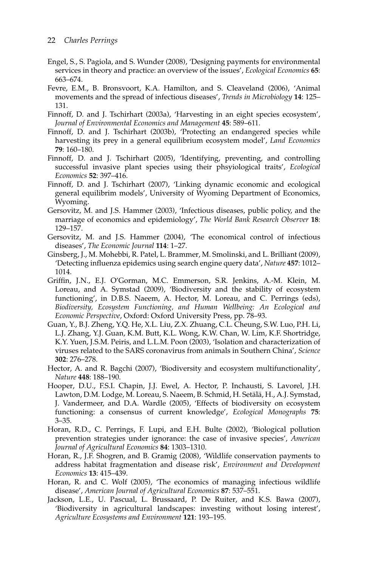- Engel, S., S. Pagiola, and S. Wunder (2008), 'Designing payments for environmental services in theory and practice: an overview of the issues', *Ecological Economics* **65**: 663–674.
- Fevre, E.M., B. Bronsvoort, K.A. Hamilton, and S. Cleaveland (2006), 'Animal movements and the spread of infectious diseases', *Trends in Microbiology* **14**: 125– 131.
- Finnoff, D. and J. Tschirhart (2003a), 'Harvesting in an eight species ecosystem', *Journal of Environmental Economics and Management* **45**: 589–611.
- Finnoff, D. and J. Tschirhart (2003b), 'Protecting an endangered species while harvesting its prey in a general equilibrium ecosystem model', *Land Economics* **79**: 160–180.
- Finnoff, D. and J. Tschirhart (2005), 'Identifying, preventing, and controlling successful invasive plant species using their phsyiological traits', *Ecological Economics* **52**: 397–416.
- Finnoff, D. and J. Tschirhart (2007), 'Linking dynamic economic and ecological general equilibrim models', University of Wyoming Department of Economics, Wyoming.
- Gersovitz, M. and J.S. Hammer (2003), 'Infectious diseases, public policy, and the marriage of economics and epidemiology', *The World Bank Research Observer* **18**: 129–157.
- Gersovitz, M. and J.S. Hammer (2004), 'The economical control of infectious diseases', *The Economic Journal* **114**: 1–27.
- Ginsberg, J., M. Mohebbi, R. Patel, L. Brammer, M. Smolinski, and L. Brilliant (2009), 'Detecting influenza epidemics using search engine query data', *Nature* **457**: 1012– 1014.
- Griffin, J.N., E.J. O'Gorman, M.C. Emmerson, S.R. Jenkins, A.-M. Klein, M. Loreau, and A. Symstad (2009), 'Biodiversity and the stability of ecosystem functioning', in D.B.S. Naeem, A. Hector, M. Loreau, and C. Perrings (eds), *Biodiversity, Ecosystem Functioning, and Human Wellbeing: An Ecological and Economic Perspective*, Oxford: Oxford University Press, pp. 78–93.
- Guan, Y., B.J. Zheng, Y.Q. He, X.L. Liu, Z.X. Zhuang, C.L. Cheung, S.W. Luo, P.H. Li, L.J. Zhang, Y.J. Guan, K.M. Butt, K.L. Wong, K.W. Chan, W. Lim, K.F. Shortridge, K.Y. Yuen, J.S.M. Peiris, and L.L.M. Poon (2003), 'Isolation and characterization of viruses related to the SARS coronavirus from animals in Southern China', *Science* **302**: 276–278.
- Hector, A. and R. Bagchi (2007), 'Biodiversity and ecosystem multifunctionality', *Nature* **448**: 188–190.
- Hooper, D.U., F.S.I. Chapin, J.J. Ewel, A. Hector, P. Inchausti, S. Lavorel, J.H. Lawton, D.M. Lodge, M. Loreau, S. Naeem, B. Schmid, H. Setälä, H., A.J. Symstad, J. Vandermeer, and D.A. Wardle (2005), 'Effects of biodiversity on ecosystem functioning: a consensus of current knowledge', *Ecological Monographs* **75**: 3–35.
- Horan, R.D., C. Perrings, F. Lupi, and E.H. Bulte (2002), 'Biological pollution prevention strategies under ignorance: the case of invasive species', *American Journal of Agricultural Economics* **84**: 1303–1310.
- Horan, R., J.F. Shogren, and B. Gramig (2008), 'Wildlife conservation payments to address habitat fragmentation and disease risk', *Environment and Development Economics* **13**: 415–439.
- Horan, R. and C. Wolf (2005), 'The economics of managing infectious wildlife disease', *American Journal of Agricultural Economics* **87**: 537–551.
- Jackson, L.E., U. Pascual, L. Brussaard, P. De Ruiter, and K.S. Bawa (2007), 'Biodiversity in agricultural landscapes: investing without losing interest', *Agriculture Ecosystems and Environment* **121**: 193–195.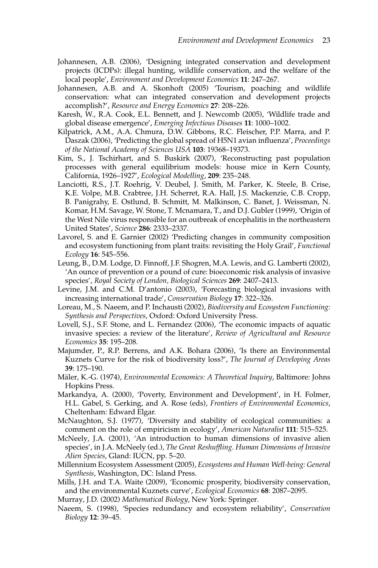- Johannesen, A.B. (2006), 'Designing integrated conservation and development projects (ICDPs): illegal hunting, wildlife conservation, and the welfare of the local people', *Environment and Development Economics* **11**: 247–267.
- Johannesen, A.B. and A. Skonhoft (2005) 'Tourism, poaching and wildlife conservation: what can integrated conservation and development projects accomplish?', *Resource and Energy Economics* **27**: 208–226.
- Karesh, W., R.A. Cook, E.L. Bennett, and J. Newcomb (2005), 'Wildlife trade and global disease emergence', *Emerging Infectious Diseases* **11**: 1000–1002.
- Kilpatrick, A.M., A.A. Chmura, D.W. Gibbons, R.C. Fleischer, P.P. Marra, and P. Daszak (2006), 'Predicting the global spread of H5N1 avian influenza', *Proceedings of the National Academy of Sciences USA* **103**: 19368–19373.
- Kim, S., J. Tschirhart, and S. Buskirk (2007), 'Reconstructing past population processes with general equilibrium models: house mice in Kern County, California, 1926–1927', *Ecological Modelling*, **209**: 235–248.
- Lanciotti, R.S., J.T. Roehrig, V. Deubel, J. Smith, M. Parker, K. Steele, B. Crise, K.E. Volpe, M.B. Crabtree, J.H. Scherret, R.A. Hall, J.S. Mackenzie, C.B. Cropp, B. Panigrahy, E. Ostlund, B. Schmitt, M. Malkinson, C. Banet, J. Weissman, N. Komar, H.M. Savage, W. Stone, T. Mcnamara, T., and D.J. Gubler (1999), 'Origin of the West Nile virus responsible for an outbreak of encephalitis in the northeastern United States', *Science* **286**: 2333–2337.
- Lavorel, S. and E. Garnier (2002) 'Predicting changes in community composition and ecosystem functioning from plant traits: revisiting the Holy Grail', *Functional Ecology* **16**: 545–556.
- Leung, B., D.M. Lodge, D. Finnoff, J.F. Shogren, M.A. Lewis, and G. Lamberti (2002), 'An ounce of prevention or a pound of cure: bioeconomic risk analysis of invasive species', *Royal Society of London, Biological Sciences* **269**: 2407–2413.
- Levine, J.M. and C.M. D'antonio (2003), 'Forecasting biological invasions with increasing international trade', *Conservation Biology* **17**: 322–326.
- Loreau, M., S. Naeem, and P. Inchausti (2002), *Biodiversity and Ecosystem Functioning: Synthesis and Perspectives*, Oxford: Oxford University Press.
- Lovell, S.J., S.F. Stone, and L. Fernandez (2006), 'The economic impacts of aquatic invasive species: a review of the literature', *Review of Agricultural and Resource Economics* **35**: 195–208.
- Majumder, P., R.P. Berrens, and A.K. Bohara (2006), 'Is there an Environmental Kuznets Curve for the risk of biodiversity loss?', *The Journal of Developing Areas* **39**: 175–190.
- Mäler, K.-G. (1974), *Environmental Economics: A Theoretical Inquiry*, Baltimore: Johns Hopkins Press.
- Markandya, A. (2000), 'Poverty, Environment and Development', in H. Folmer, H.L. Gabel, S. Gerking, and A. Rose (eds), *Frontiers of Environmental Economics*, Cheltenham: Edward Elgar.
- McNaughton, S.J. (1977), 'Diversity and stability of ecological communities: a comment on the role of empiricism in ecology', *American Naturalist* **111**: 515–525.
- McNeely, J.A. (2001), 'An introduction to human dimensions of invasive alien species', in J.A. McNeely (ed.), *The Great Reshuffling. Human Dimensions of Invasive Alien Species*, Gland: IUCN, pp. 5–20.
- Millennium Ecosystem Assessment (2005), *Ecosystems and Human Well-being: General Synthesis*, Washington, DC: Island Press.
- Mills, J.H. and T.A. Waite (2009), 'Economic prosperity, biodiversity conservation, and the environmental Kuznets curve', *Ecological Economics* **68**: 2087–2095.
- Murray, J.D. (2002) *Mathematical Biology*, New York: Springer.
- Naeem, S. (1998), 'Species redundancy and ecosystem reliability', *Conservation Biology* **12**: 39–45.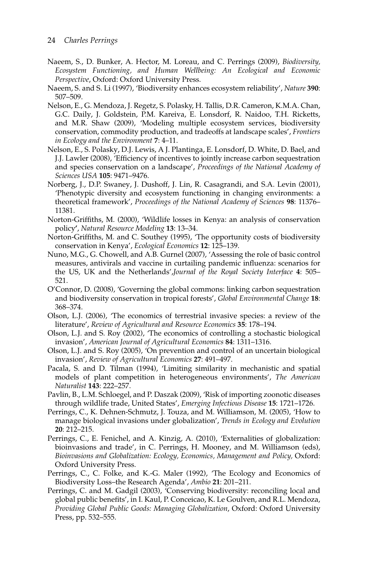- Naeem, S., D. Bunker, A. Hector, M. Loreau, and C. Perrings (2009), *Biodiversity, Ecosystem Functioning, and Human Wellbeing: An Ecological and Economic Perspective*, Oxford: Oxford University Press.
- Naeem, S. and S. Li (1997), 'Biodiversity enhances ecosystem reliability', *Nature* **390**: 507–509.
- Nelson, E., G. Mendoza, J. Regetz, S. Polasky, H. Tallis, D.R. Cameron, K.M.A. Chan, G.C. Daily, J. Goldstein, P.M. Kareiva, E. Lonsdorf, R. Naidoo, T.H. Ricketts, and M.R. Shaw (2009), 'Modeling multiple ecosystem services, biodiversity conservation, commodity production, and tradeoffs at landscape scales', *Frontiers in Ecology and the Environment* **7**: 4–11.
- Nelson, E., S. Polasky, D.J. Lewis, A J. Plantinga, E. Lonsdorf, D. White, D. Bael, and J.J. Lawler (2008), 'Efficiency of incentives to jointly increase carbon sequestration and species conservation on a landscape', *Proceedings of the National Academy of Sciences USA* **105**: 9471–9476.
- Norberg, J., D.P. Swaney, J. Dushoff, J. Lin, R. Casagrandi, and S.A. Levin (2001), 'Phenotypic diversity and ecosystem functioning in changing environments: a theoretical framework', *Proceedings of the National Academy of Sciences* **98**: 11376– 11381.
- Norton-Griffiths, M. (2000), 'Wildlife losses in Kenya: an analysis of conservation policy**'**, *Natural Resource Modeling* **13**: 13–34.
- Norton-Griffiths, M. and C. Southey (1995), 'The opportunity costs of biodiversity conservation in Kenya', *Ecological Economics* **12**: 125–139.
- Nuno, M.G., G. Chowell, and A.B. Gurnel (2007), 'Assessing the role of basic control measures, antivirals and vaccine in curtailing pandemic influenza: scenarios for the US, UK and the Netherlands',*Journal of the Royal Society Interface* **4**: 505– 521.
- O'Connor, D. (2008), 'Governing the global commons: linking carbon sequestration and biodiversity conservation in tropical forests', *Global Environmental Change* **18**: 368–374.
- Olson, L.J. (2006), 'The economics of terrestrial invasive species: a review of the literature', *Review of Agricultural and Resource Economics* **35**: 178–194.
- Olson, L.J. and S. Roy (2002), 'The economics of controlling a stochastic biological invasion', *American Journal of Agricultural Economics* **84**: 1311–1316.
- Olson, L.J. and S. Roy (2005), 'On prevention and control of an uncertain biological invasion', *Review of Agricultural Economics* **27**: 491–497.
- Pacala, S. and D. Tilman (1994), 'Limiting similarity in mechanistic and spatial models of plant competition in heterogeneous environments', *The American Naturalist* **143**: 222–257.
- Pavlin, B., L.M. Schloegel, and P. Daszak (2009), 'Risk of importing zoonotic diseases through wildlife trade, United States', *Emerging Infectious Disease* **15**: 1721–1726.
- Perrings, C., K. Dehnen-Schmutz, J. Touza, and M. Williamson, M. (2005), 'How to manage biological invasions under globalization', *Trends in Ecology and Evolution* **20**: 212–215.
- Perrings, C., E. Fenichel, and A. Kinzig, A. (2010), 'Externalities of globalization: bioinvasions and trade', in C. Perrings, H. Mooney, and M. Williamson (eds), *Bioinvasions and Globalization: Ecology, Economics, Management and Policy,* Oxford: Oxford University Press.
- Perrings, C., C. Folke, and K.-G. Maler (1992), 'The Ecology and Economics of Biodiversity Loss–the Research Agenda', *Ambio* **21**: 201–211.
- Perrings, C. and M. Gadgil (2003), 'Conserving biodiversity: reconciling local and global public benefits', in I. Kaul, P. Conceicao, K. Le Goulven, and R.L. Mendoza, *Providing Global Public Goods: Managing Globalization*, Oxford: Oxford University Press, pp. 532–555.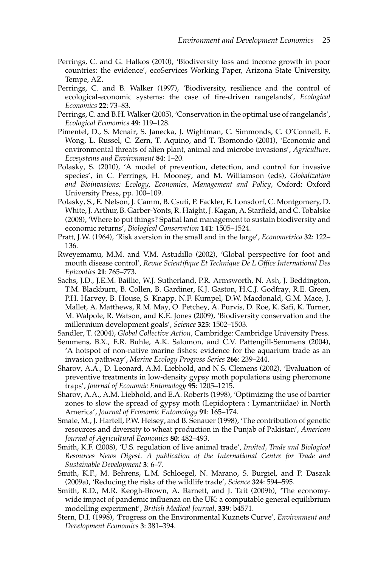- Perrings, C. and G. Halkos (2010), 'Biodiversity loss and income growth in poor countries: the evidence', ecoServices Working Paper, Arizona State University, Tempe, AZ.
- Perrings, C. and B. Walker (1997), 'Biodiversity, resilience and the control of ecological-economic systems: the case of fire-driven rangelands', *Ecological Economics* **22**: 73–83.
- Perrings, C. and B.H. Walker (2005), 'Conservation in the optimal use of rangelands', *Ecological Economics* **49**: 119–128.
- Pimentel, D., S. Mcnair, S. Janecka, J. Wightman, C. Simmonds, C. O'Connell, E. Wong, L. Russel, C. Zern, T. Aquino, and T. Tsomondo (2001), 'Economic and environmental threats of alien plant, animal and microbe invasions', *Agriculture, Ecosystems and Environment* **84**: 1–20.
- Polasky, S. (2010), 'A model of prevention, detection, and control for invasive species', in C. Perrings, H. Mooney, and M. Williamson (eds), *Globalization and Bioinvasions: Ecology, Economics, Management and Policy*, Oxford: Oxford University Press, pp. 100–109.
- Polasky, S., E. Nelson, J. Camm, B. Csuti, P. Fackler, E. Lonsdorf, C. Montgomery, D. White, J. Arthur, B. Garber-Yonts, R. Haight, J. Kagan, A. Starfield, and C. Tobalske (2008), 'Where to put things? Spatial land management to sustain biodiversity and economic returns', *Biological Conservation* **141**: 1505–1524.
- Pratt, J.W. (1964), 'Risk aversion in the small and in the large', *Econometrica* **32**: 122– 136.
- Rweyemamu, M.M. and V.M. Astudillo (2002), 'Global perspective for foot and mouth disease control', *Revue Scientifique Et Technique De L Office International Des Epizooties* **21**: 765–773.
- Sachs, J.D., J.E.M. Baillie, W.J. Sutherland, P.R. Armsworth, N. Ash, J. Beddington, T.M. Blackburn, B. Collen, B. Gardiner, K.J. Gaston, H.C.J. Godfray, R.E. Green, P.H. Harvey, B. House, S. Knapp, N.F. Kumpel, D.W. Macdonald, G.M. Mace, J. Mallet, A. Matthews, R.M. May, O. Petchey, A. Purvis, D. Roe, K. Safi, K. Turner, M. Walpole, R. Watson, and K.E. Jones (2009), 'Biodiversity conservation and the millennium development goals', *Science* **325**: 1502–1503.

Sandler, T. (2004), *Global Collective Action*, Cambridge: Cambridge University Press.

- Semmens, B.X., E.R. Buhle, A.K. Salomon, and C.V. Pattengill-Semmens (2004), 'A hotspot of non-native marine fishes: evidence for the aquarium trade as an invasion pathway', *Marine Ecology Progress Series* **266**: 239–244.
- Sharov, A.A., D. Leonard, A.M. Liebhold, and N.S. Clemens (2002), 'Evaluation of preventive treatments in low-density gypsy moth populations using pheromone traps', *Journal of Economic Entomology* **95**: 1205–1215.
- Sharov, A.A., A.M. Liebhold, and E.A. Roberts (1998), 'Optimizing the use of barrier zones to slow the spread of gypsy moth (Lepidoptera : Lymantriidae) in North America', *Journal of Economic Entomology* **91**: 165–174.
- Smale, M., J. Hartell, P.W. Heisey, and B. Senauer (1998), 'The contribution of genetic resources and diversity to wheat production in the Punjab of Pakistan', *American Journal of Agricultural Economics* **80**: 482–493.
- Smith, K.F. (2008), 'U.S. regulation of live animal trade', *Invited, Trade and Biological Resources News Digest. A publication of the International Centre for Trade and Sustainable Development* **3**: 6–7.
- Smith, K.F., M. Behrens, L.M. Schloegel, N. Marano, S. Burgiel, and P. Daszak (2009a), 'Reducing the risks of the wildlife trade', *Science* **324**: 594–595.
- Smith, R.D., M.R. Keogh-Brown, A. Barnett, and J. Tait (2009b), 'The economywide impact of pandemic influenza on the UK: a computable general equilibrium modelling experiment', *British Medical Journal*, **339**: b4571.
- Stern, D.I. (1998), 'Progress on the Environmental Kuznets Curve', *Environment and Development Economics* **3**: 381–394.